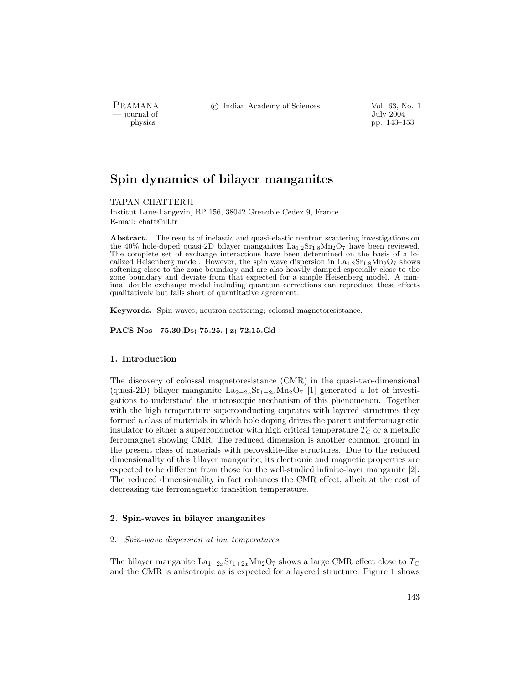PRAMANA °c Indian Academy of Sciences Vol. 63, No. 1

— July 2004<br>
physics by the physics of the physics of the physics of the physics of the physics of the physics of the physics of the physics of the physics of the physics of the physics of the physics of the physics of the pp. 143–153

# Spin dynamics of bilayer manganites

TAPAN CHATTERJI

Institut Laue-Langevin, BP 156, 38042 Grenoble Cedex 9, France E-mail: chatt@ill.fr

Abstract. The results of inelastic and quasi-elastic neutron scattering investigations on the 40% hole-doped quasi-2D bilayer manganites  $La_{1,2}Sr_{1,8}M_{2}O_7$  have been reviewed. The complete set of exchange interactions have been determined on the basis of a localized Heisenberg model. However, the spin wave dispersion in  $La_{1,2}Sr_{1,8}Mn_2O_7$  shows softening close to the zone boundary and are also heavily damped especially close to the zone boundary and deviate from that expected for a simple Heisenberg model. A minimal double exchange model including quantum corrections can reproduce these effects qualitatively but falls short of quantitative agreement.

Keywords. Spin waves; neutron scattering; colossal magnetoresistance.

PACS Nos 75.30.Ds; 75.25.+z; 72.15.Gd

## 1. Introduction

The discovery of colossal magnetoresistance (CMR) in the quasi-two-dimensional (quasi-2D) bilayer manganite  $\text{La}_{2-2x}\text{Sr}_{1+2x}\text{Mn}_2\text{O}_7$  [1] generated a lot of investigations to understand the microscopic mechanism of this phenomenon. Together with the high temperature superconducting cuprates with layered structures they formed a class of materials in which hole doping drives the parent antiferromagnetic insulator to either a superconductor with high critical temperature  $T_{\rm C}$  or a metallic ferromagnet showing CMR. The reduced dimension is another common ground in the present class of materials with perovskite-like structures. Due to the reduced dimensionality of this bilayer manganite, its electronic and magnetic properties are expected to be different from those for the well-studied infinite-layer manganite [2]. The reduced dimensionality in fact enhances the CMR effect, albeit at the cost of decreasing the ferromagnetic transition temperature.

### 2. Spin-waves in bilayer manganites

### 2.1 Spin-wave dispersion at low temperatures

The bilayer manganite  $La_{1-2x}Sr_{1+2x}Mn_2O_7$  shows a large CMR effect close to  $T_C$ and the CMR is anisotropic as is expected for a layered structure. Figure 1 shows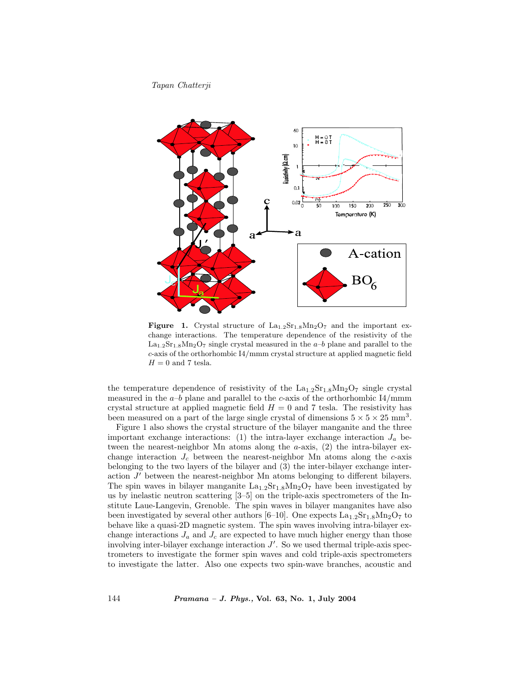

Figure 1. Crystal structure of  $La<sub>1.2</sub>Sr<sub>1.8</sub>Mn<sub>2</sub>O<sub>7</sub>$  and the important exchange interactions. The temperature dependence of the resistivity of the  $La<sub>1.2</sub>Sr<sub>1.8</sub>Mn<sub>2</sub>O<sub>7</sub>$  single crystal measured in the  $a-b$  plane and parallel to the c-axis of the orthorhombic I4/mmm crystal structure at applied magnetic field  ${\cal H}=0$  and 7 tesla.

the temperature dependence of resistivity of the  $La_{1,2}Sr_{1.8}Mn_2O_7$  single crystal measured in the  $a-b$  plane and parallel to the c-axis of the orthorhombic  $I4/mmm$ crystal structure at applied magnetic field  $H = 0$  and 7 tesla. The resistivity has been measured on a part of the large single crystal of dimensions  $5 \times 5 \times 25$  mm<sup>3</sup>.

Figure 1 also shows the crystal structure of the bilayer manganite and the three important exchange interactions: (1) the intra-layer exchange interaction  $J_a$  between the nearest-neighbor Mn atoms along the  $a$ -axis,  $(2)$  the intra-bilayer exchange interaction  $J_c$  between the nearest-neighbor Mn atoms along the c-axis belonging to the two layers of the bilayer and (3) the inter-bilayer exchange interaction  $J'$  between the nearest-neighbor Mn atoms belonging to different bilayers. The spin waves in bilayer manganite  $La_{1.2}Sr_{1.8}M_{2}O_7$  have been investigated by us by inelastic neutron scattering [3–5] on the triple-axis spectrometers of the Institute Laue-Langevin, Grenoble. The spin waves in bilayer manganites have also been investigated by several other authors  $[6-10]$ . One expects  $\text{La}_{1.2}\text{Sr}_{1.8}\text{Mn}_2\text{O}_7$  to behave like a quasi-2D magnetic system. The spin waves involving intra-bilayer exchange interactions  $J_a$  and  $J_c$  are expected to have much higher energy than those involving inter-bilayer exchange interaction  $J'$ . So we used thermal triple-axis spectrometers to investigate the former spin waves and cold triple-axis spectrometers to investigate the latter. Also one expects two spin-wave branches, acoustic and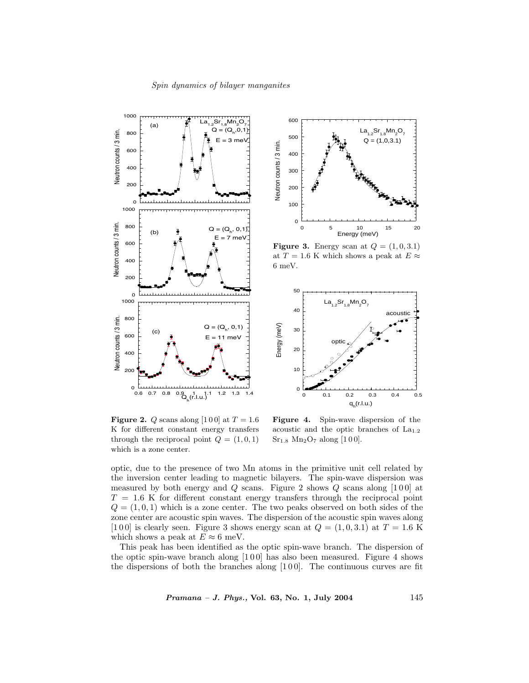



**Figure 3.** Energy scan at  $Q = (1, 0, 3.1)$ at  $T = 1.6$  K which shows a peak at  $E \approx$ 6 meV.



Figure 2. Q scans along [100] at  $T = 1.6$ K for different constant energy transfers through the reciprocal point  $Q = (1, 0, 1)$ which is a zone center.

Figure 4. Spin-wave dispersion of the acoustic and the optic branches of  $La<sub>1.2</sub>$  $Sr<sub>1.8</sub> Mn<sub>2</sub>O<sub>7</sub> along [100].$ 

optic, due to the presence of two Mn atoms in the primitive unit cell related by the inversion center leading to magnetic bilayers. The spin-wave dispersion was measured by both energy and  $Q$  scans. Figure 2 shows  $Q$  scans along [100] at  $T = 1.6$  K for different constant energy transfers through the reciprocal point  $Q = (1, 0, 1)$  which is a zone center. The two peaks observed on both sides of the zone center are acoustic spin waves. The dispersion of the acoustic spin waves along [100] is clearly seen. Figure 3 shows energy scan at  $Q = (1, 0, 3.1)$  at  $T = 1.6$  K which shows a peak at  $E \approx 6$  meV.

This peak has been identified as the optic spin-wave branch. The dispersion of the optic spin-wave branch along  $[1\,0\,0]$  has also been measured. Figure 4 shows the dispersions of both the branches along  $[1\,0\,0]$ . The continuous curves are fit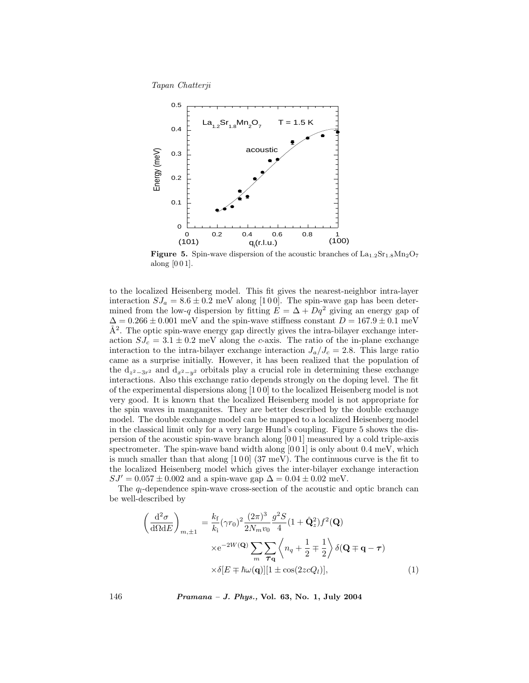

**Figure 5.** Spin-wave dispersion of the acoustic branches of  $\text{La}_{1.2}\text{Sr}_{1.8}\text{Mn}_2\text{O}_7$ along [0 0 1].

to the localized Heisenberg model. This fit gives the nearest-neighbor intra-layer interaction  $SJ_a = 8.6 \pm 0.2$  meV along [100]. The spin-wave gap has been determined from the low-q dispersion by fitting  $E = \Delta + Dq^2$  giving an energy gap of  $\Delta = 0.266 \pm 0.001$  meV and the spin-wave stiffness constant  $D = 167.9 \pm 0.1$  meV  $\AA^2$ . The optic spin-wave energy gap directly gives the intra-bilayer exchange interaction  $SJ_c = 3.1 \pm 0.2$  meV along the c-axis. The ratio of the in-plane exchange interaction to the intra-bilayer exchange interaction  $J_a/J_c = 2.8$ . This large ratio came as a surprise initially. However, it has been realized that the population of the  $d_{z^2-3r^2}$  and  $d_{x^2-y^2}$  orbitals play a crucial role in determining these exchange interactions. Also this exchange ratio depends strongly on the doping level. The fit of the experimental dispersions along [1 0 0] to the localized Heisenberg model is not very good. It is known that the localized Heisenberg model is not appropriate for the spin waves in manganites. They are better described by the double exchange model. The double exchange model can be mapped to a localized Heisenberg model in the classical limit only for a very large Hund's coupling. Figure 5 shows the dispersion of the acoustic spin-wave branch along [0 0 1] measured by a cold triple-axis spectrometer. The spin-wave band width along  $[0 0 1]$  is only about 0.4 meV, which is much smaller than that along  $[1\,0\,0]$  (37 meV). The continuous curve is the fit to the localized Heisenberg model which gives the inter-bilayer exchange interaction  $SJ' = 0.057 \pm 0.002$  and a spin-wave gap  $\Delta = 0.04 \pm 0.02$  meV.

The  $q_l$ -dependence spin-wave cross-section of the acoustic and optic branch can be well-described by

$$
\left(\frac{\mathrm{d}^2\sigma}{\mathrm{d}\Omega\mathrm{d}E}\right)_{m,\pm 1} = \frac{k_{\mathrm{f}}}{k_{\mathrm{i}}} (\gamma r_{0})^2 \frac{(2\pi)^3}{2N_{m}v_{0}} \frac{g^2 S}{4} (1 + \hat{\mathbf{Q}}_{z}^2) f^2(\mathbf{Q})
$$

$$
\times e^{-2W(\mathbf{Q})} \sum_{m} \sum_{\tau \mathbf{q}} \left\langle n_q + \frac{1}{2} \mp \frac{1}{2} \right\rangle \delta(\mathbf{Q} \mp \mathbf{q} - \tau)
$$

$$
\times \delta[E \mp \hbar \omega(\mathbf{q})][1 \pm \cos(2z c Q_{l})], \tag{1}
$$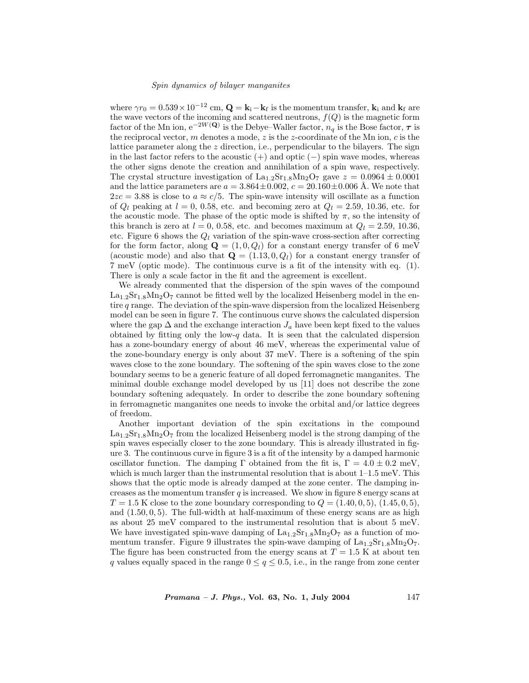#### Spin dynamics of bilayer manganites

where  $\gamma r_0 = 0.539 \times 10^{-12}$  cm,  $\mathbf{Q} = \mathbf{k}_i - \mathbf{k}_f$  is the momentum transfer,  $\mathbf{k}_i$  and  $\mathbf{k}_f$  are the wave vectors of the incoming and scattered neutrons,  $f(Q)$  is the magnetic form factor of the Mn ion,  $e^{-2W(Q)}$  is the Debye–Waller factor,  $n_q$  is the Bose factor,  $\tau$  is the reciprocal vector, m denotes a mode,  $z$  is the z-coordinate of the Mn ion,  $c$  is the lattice parameter along the z direction, i.e., perpendicular to the bilayers. The sign in the last factor refers to the acoustic  $(+)$  and optic  $(-)$  spin wave modes, whereas the other signs denote the creation and annihilation of a spin wave, respectively. The crystal structure investigation of  $\text{La}_{1.2}\text{Sr}_{1.8}\text{Mn}_2\text{O}_7$  gave  $z = 0.0964 \pm 0.0001$ and the lattice parameters are  $a = 3.864 \pm 0.002$ ,  $c = 20.160 \pm 0.006$  Å. We note that  $2zc = 3.88$  is close to  $a \approx c/5$ . The spin-wave intensity will oscillate as a function of  $Q_l$  peaking at  $l = 0, 0.58$ , etc. and becoming zero at  $Q_l = 2.59, 10.36$ , etc. for the acoustic mode. The phase of the optic mode is shifted by  $\pi$ , so the intensity of this branch is zero at  $l = 0, 0.58$ , etc. and becomes maximum at  $Q_l = 2.59, 10.36$ , etc. Figure 6 shows the  $Q_l$  variation of the spin-wave cross-section after correcting for the form factor, along  $\mathbf{Q} = (1, 0, Q_l)$  for a constant energy transfer of 6 meV (acoustic mode) and also that  $\mathbf{Q} = (1.13, 0, Q_l)$  for a constant energy transfer of 7 meV (optic mode). The continuous curve is a fit of the intensity with eq. (1). There is only a scale factor in the fit and the agreement is excellent.

We already commented that the dispersion of the spin waves of the compound  $\text{La}_{1.2}\text{Sr}_{1.8}\text{Mn}_2\text{O}_7$  cannot be fitted well by the localized Heisenberg model in the entire  $q$  range. The deviation of the spin-wave dispersion from the localized Heisenberg model can be seen in figure 7. The continuous curve shows the calculated dispersion where the gap  $\Delta$  and the exchange interaction  $J_a$  have been kept fixed to the values obtained by fitting only the low- $q$  data. It is seen that the calculated dispersion has a zone-boundary energy of about 46 meV, whereas the experimental value of the zone-boundary energy is only about 37 meV. There is a softening of the spin waves close to the zone boundary. The softening of the spin waves close to the zone boundary seems to be a generic feature of all doped ferromagnetic manganites. The minimal double exchange model developed by us [11] does not describe the zone boundary softening adequately. In order to describe the zone boundary softening in ferromagnetic manganites one needs to invoke the orbital and/or lattice degrees of freedom.

Another important deviation of the spin excitations in the compound  $\text{La}_{1,2}\text{Sr}_{1,8}\text{Mn}_2\text{O}_7$  from the localized Heisenberg model is the strong damping of the spin waves especially closer to the zone boundary. This is already illustrated in figure 3. The continuous curve in figure 3 is a fit of the intensity by a damped harmonic oscillator function. The damping  $\Gamma$  obtained from the fit is,  $\Gamma = 4.0 \pm 0.2$  meV, which is much larger than the instrumental resolution that is about  $1-1.5$  meV. This shows that the optic mode is already damped at the zone center. The damping increases as the momentum transfer  $q$  is increased. We show in figure 8 energy scans at  $T = 1.5$  K close to the zone boundary corresponding to  $Q = (1.40, 0.5), (1.45, 0.5),$ and  $(1.50, 0, 5)$ . The full-width at half-maximum of these energy scans are as high as about 25 meV compared to the instrumental resolution that is about 5 meV. We have investigated spin-wave damping of  $La<sub>1.2</sub>Sr<sub>1.8</sub>Mn<sub>2</sub>O<sub>7</sub>$  as a function of momentum transfer. Figure 9 illustrates the spin-wave damping of  $\text{La}_{1.2}\text{Sr}_{1.8}\text{Mn}_2\text{O}_7$ . The figure has been constructed from the energy scans at  $T = 1.5$  K at about ten q values equally spaced in the range  $0 \leq q \leq 0.5$ , i.e., in the range from zone center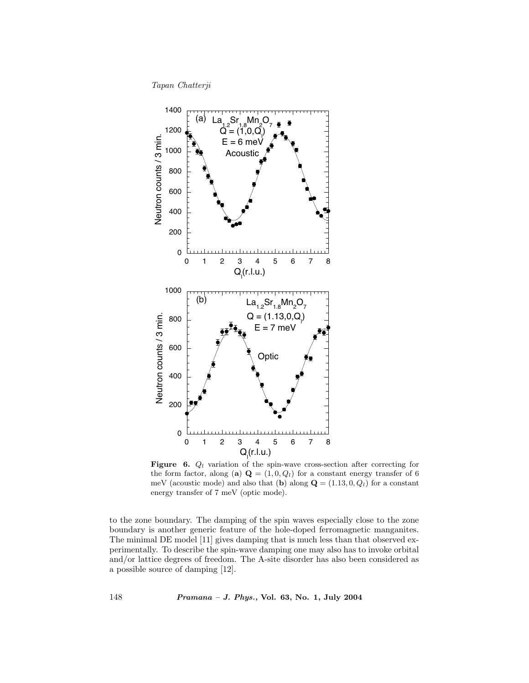

Figure 6.  $Q_l$  variation of the spin-wave cross-section after correcting for the form factor, along (a)  $\mathbf{Q} = (1, 0, Q_l)$  for a constant energy transfer of 6 meV (acoustic mode) and also that (b) along  $\mathbf{Q} = (1.13, 0, Q_l)$  for a constant energy transfer of 7 meV (optic mode).

to the zone boundary. The damping of the spin waves especially close to the zone boundary is another generic feature of the hole-doped ferromagnetic manganites. The minimal DE model [11] gives damping that is much less than that observed experimentally. To describe the spin-wave damping one may also has to invoke orbital and/or lattice degrees of freedom. The A-site disorder has also been considered as a possible source of damping [12].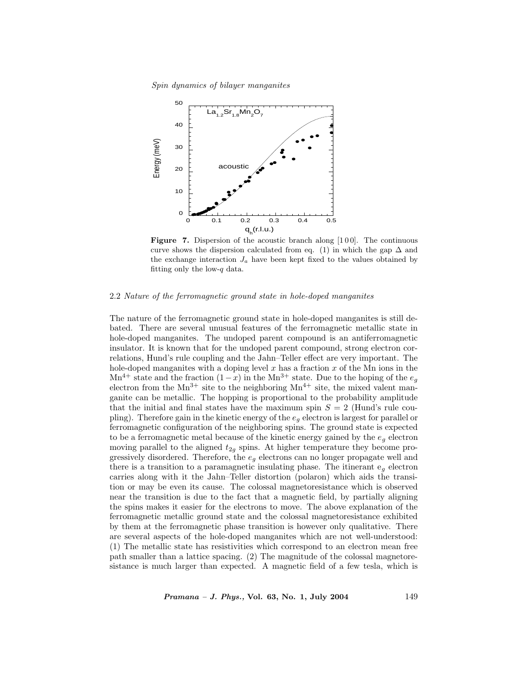Spin dynamics of bilayer manganites



Figure 7. Dispersion of the acoustic branch along [100]. The continuous curve shows the dispersion calculated from eq. (1) in which the gap  $\Delta$  and the exchange interaction  $J_a$  have been kept fixed to the values obtained by fitting only the low- $q$  data.

## 2.2 Nature of the ferromagnetic ground state in hole-doped manganites

The nature of the ferromagnetic ground state in hole-doped manganites is still debated. There are several unusual features of the ferromagnetic metallic state in hole-doped manganites. The undoped parent compound is an antiferromagnetic insulator. It is known that for the undoped parent compound, strong electron correlations, Hund's rule coupling and the Jahn–Teller effect are very important. The hole-doped manganites with a doping level  $x$  has a fraction  $x$  of the Mn ions in the Mn<sup>4+</sup> state and the fraction  $(1-x)$  in the Mn<sup>3+</sup> state. Due to the hoping of the  $e<sub>a</sub>$ electron from the  $Mn^{3+}$  site to the neighboring  $Mn^{4+}$  site, the mixed valent manganite can be metallic. The hopping is proportional to the probability amplitude that the initial and final states have the maximum spin  $S = 2$  (Hund's rule coupling). Therefore gain in the kinetic energy of the  $e_q$  electron is largest for parallel or ferromagnetic configuration of the neighboring spins. The ground state is expected to be a ferromagnetic metal because of the kinetic energy gained by the  $e_q$  electron moving parallel to the aligned  $t_{2g}$  spins. At higher temperature they become progressively disordered. Therefore, the  $e_g$  electrons can no longer propagate well and there is a transition to a paramagnetic insulating phase. The itinerant  $e_q$  electron carries along with it the Jahn–Teller distortion (polaron) which aids the transition or may be even its cause. The colossal magnetoresistance which is observed near the transition is due to the fact that a magnetic field, by partially aligning the spins makes it easier for the electrons to move. The above explanation of the ferromagnetic metallic ground state and the colossal magnetoresistance exhibited by them at the ferromagnetic phase transition is however only qualitative. There are several aspects of the hole-doped manganites which are not well-understood: (1) The metallic state has resistivities which correspond to an electron mean free path smaller than a lattice spacing. (2) The magnitude of the colossal magnetoresistance is much larger than expected. A magnetic field of a few tesla, which is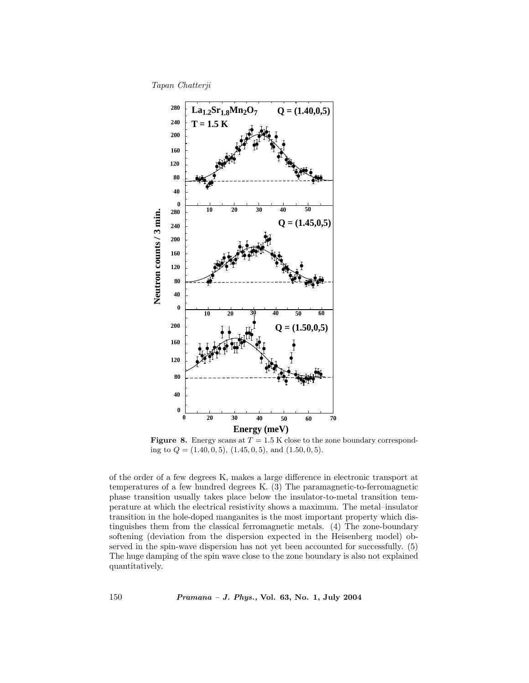Tapan Chatterji



Figure 8. Energy scans at  $T = 1.5$  K close to the zone boundary corresponding to  $Q = (1.40, 0, 5), (1.45, 0, 5),$  and  $(1.50, 0, 5)$ .

of the order of a few degrees K, makes a large difference in electronic transport at temperatures of a few hundred degrees K. (3) The paramagnetic-to-ferromagnetic phase transition usually takes place below the insulator-to-metal transition temperature at which the electrical resistivity shows a maximum. The metal–insulator transition in the hole-doped manganites is the most important property which distinguishes them from the classical ferromagnetic metals. (4) The zone-boundary softening (deviation from the dispersion expected in the Heisenberg model) observed in the spin-wave dispersion has not yet been accounted for successfully. (5) The huge damping of the spin wave close to the zone boundary is also not explained quantitatively.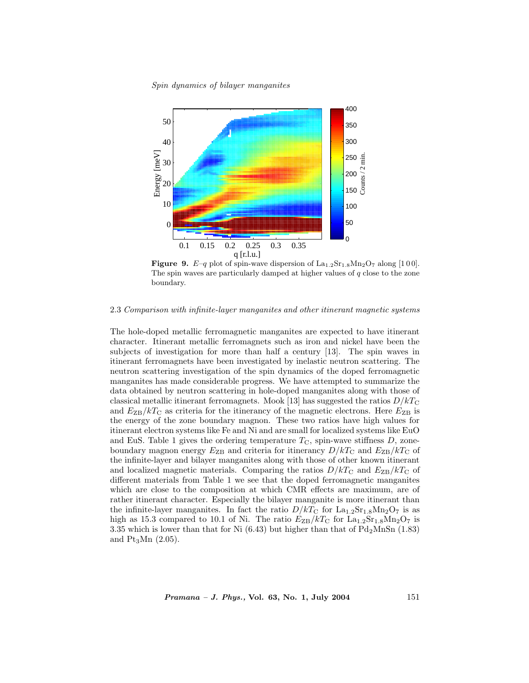#### Spin dynamics of bilayer manganites



**Figure 9.**  $E-q$  plot of spin-wave dispersion of  $\text{La}_{1,2}\text{Sr}_{1,8}\text{Mn}_2\text{O}_7$  along [100]. The spin waves are particularly damped at higher values of  $q$  close to the zone boundary.

## 2.3 Comparison with infinite-layer manganites and other itinerant magnetic systems

The hole-doped metallic ferromagnetic manganites are expected to have itinerant character. Itinerant metallic ferromagnets such as iron and nickel have been the subjects of investigation for more than half a century [13]. The spin waves in itinerant ferromagnets have been investigated by inelastic neutron scattering. The neutron scattering investigation of the spin dynamics of the doped ferromagnetic manganites has made considerable progress. We have attempted to summarize the data obtained by neutron scattering in hole-doped manganites along with those of classical metallic itinerant ferromagnets. Mook [13] has suggested the ratios  $D/kT_{\rm C}$ and  $E_{\text{ZB}}/kT_{\text{C}}$  as criteria for the itinerancy of the magnetic electrons. Here  $E_{\text{ZB}}$  is the energy of the zone boundary magnon. These two ratios have high values for itinerant electron systems like Fe and Ni and are small for localized systems like EuO and EuS. Table 1 gives the ordering temperature  $T_{\rm C}$ , spin-wave stiffness  $D$ , zoneboundary magnon energy  $E_{\text{ZB}}$  and criteria for itinerancy  $D/kT_{\text{C}}$  and  $E_{\text{ZB}}/kT_{\text{C}}$  of the infinite-layer and bilayer manganites along with those of other known itinerant and localized magnetic materials. Comparing the ratios  $D/kT_{\rm C}$  and  $E_{\rm ZB}/kT_{\rm C}$  of different materials from Table 1 we see that the doped ferromagnetic manganites which are close to the composition at which CMR effects are maximum, are of rather itinerant character. Especially the bilayer manganite is more itinerant than the infinite-layer manganites. In fact the ratio  $D/kT_{\rm C}$  for  $\rm La_{1.2}Sr_{1.8}Mn_2O_7$  is as high as 15.3 compared to 10.1 of Ni. The ratio  $E_{\rm ZB}/kT_{\rm C}$  for  $\rm La_{1.2}Sr_{1.8}Mn_2O_7$  is 3.35 which is lower than that for Ni  $(6.43)$  but higher than that of  $Pd_2MnSn$  (1.83) and  $Pt_3Mn$  (2.05).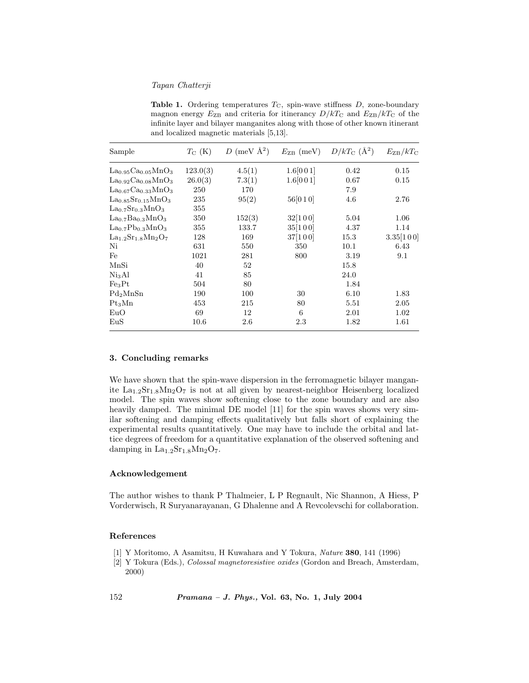Table 1. Ordering temperatures  $T_{\rm C}$ , spin-wave stiffness  $D$ , zone-boundary magnon energy  $E_{\text{ZB}}$  and criteria for itinerancy  $D/kT_{\text{C}}$  and  $E_{\text{ZB}}/kT_{\text{C}}$  of the infinite layer and bilayer manganites along with those of other known itinerant and localized magnetic materials [5,13].

| Sample                        | $T_{\rm C}$ (K) | D (meV $\AA^2$ ) | $E_{\rm ZB}$ (meV) | $D/kT_{\rm C}$ ( $\rm \AA^2$ ) | $E_{\rm ZB}/kT_{\rm C}$ |
|-------------------------------|-----------------|------------------|--------------------|--------------------------------|-------------------------|
| $La0.95Ca0.05MnO3$            | 123.0(3)        | 4.5(1)           | 1.6[001]           | 0.42                           | 0.15                    |
| $La0.92Ca0.08MnO3$            | 26.0(3)         | 7.3(1)           | 1.6[001]           | 0.67                           | 0.15                    |
| $La0.67Ca0.33MnO3$            | 250             | 170              |                    | 7.9                            |                         |
| $La0.85Sr0.15MnO3$            | 235             | 95(2)            | 56[010]            | 4.6                            | 2.76                    |
| $La0.7Sr0.3MnO3$              | 355             |                  |                    |                                |                         |
| $La0.7Ba0.3MnO3$              | 350             | 152(3)           | 32[100]            | 5.04                           | 1.06                    |
| $La0.7Pb0.3MnO3$              | 355             | 133.7            | 35[100]            | 4.37                           | 1.14                    |
| $\rm La_{1.2}Sr_{1.8}Mn_2O_7$ | 128             | 169              | 37[100]            | 15.3                           | 3.35[100]               |
| Ni                            | 631             | 550              | 350                | 10.1                           | 6.43                    |
| Fe                            | 1021            | 281              | 800                | 3.19                           | 9.1                     |
| MnSi                          | 40              | 52               |                    | 15.8                           |                         |
| Ni <sub>3</sub> Al            | 41              | 85               |                    | 24.0                           |                         |
| Fe <sub>3</sub> Pt            | 504             | 80               |                    | 1.84                           |                         |
| $Pd_2MnSn$                    | 190             | 100              | 30                 | 6.10                           | 1.83                    |
| $Pt_3Mn$                      | 453             | 215              | 80                 | 5.51                           | $2.05\,$                |
| EuO                           | 69              | 12               | 6                  | 2.01                           | 1.02                    |
| EuS                           | 10.6            | $2.6\,$          | 2.3                | 1.82                           | 1.61                    |

## 3. Concluding remarks

We have shown that the spin-wave dispersion in the ferromagnetic bilayer manganite  $La<sub>1.2</sub>Sr<sub>1.8</sub>Mn<sub>2</sub>O<sub>7</sub>$  is not at all given by nearest-neighbor Heisenberg localized model. The spin waves show softening close to the zone boundary and are also heavily damped. The minimal DE model [11] for the spin waves shows very similar softening and damping effects qualitatively but falls short of explaining the experimental results quantitatively. One may have to include the orbital and lattice degrees of freedom for a quantitative explanation of the observed softening and damping in  $La<sub>1.2</sub>Sr<sub>1.8</sub>Mn<sub>2</sub>O<sub>7</sub>$ .

## Acknowledgement

The author wishes to thank P Thalmeier, L P Regnault, Nic Shannon, A Hiess, P Vorderwisch, R Suryanarayanan, G Dhalenne and A Revcolevschi for collaboration.

## References

- [1] Y Moritomo, A Asamitsu, H Kuwahara and Y Tokura, Nature 380, 141 (1996)
- [2] Y Tokura (Eds.), Colossal magnetoresistive oxides (Gordon and Breach, Amsterdam, 2000)